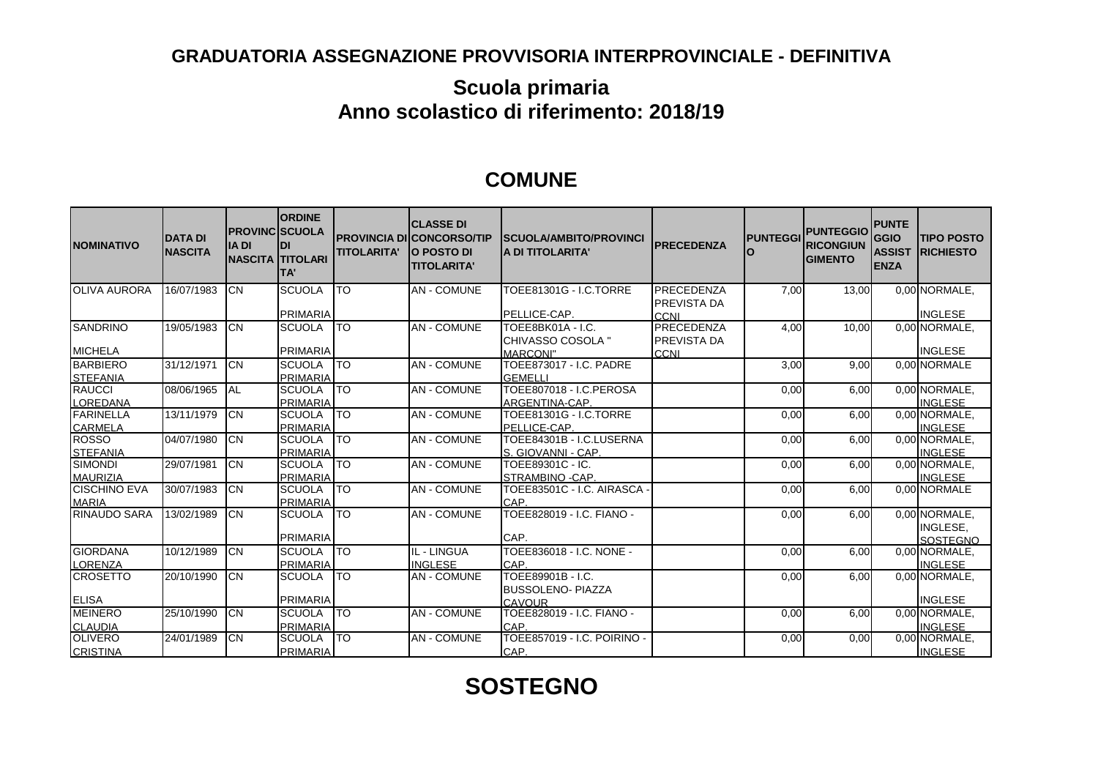## **GRADUATORIA ASSEGNAZIONE PROVVISORIA INTERPROVINCIALE - DEFINITIVA**

## **Scuola primaria Anno scolastico di riferimento: 2018/19**

## **COMUNE**

| <b>NOMINATIVO</b>                   | <b>DATA DI</b><br><b>NASCITA</b> | <b>PROVINCISCUOLA</b><br><b>IA DI</b> | <b>ORDINE</b><br>IDI<br><b>NASCITA TITOLARI</b><br>lTA' | <b>TITOLARITA'</b> | <b>CLASSE DI</b><br><b>PROVINCIA DI CONCORSO/TIP</b><br><b>O POSTO DI</b><br><b>TITOLARITA'</b> | <b>ISCUOLA/AMBITO/PROVINCI</b><br><b>JA DI TITOLARITA'</b> | <b>PRECEDENZA</b>                | <b>PUNTEGGI</b> | <b>PUNTEGGIO</b><br><b>RICONGIUN</b><br><b>GIMENTO</b> | <b>PUNTE</b><br><b>GGIO</b><br><b>ASSIST</b><br><b>ENZA</b> | <b>TIPO POSTO</b><br><b>IRICHIESTO</b> |
|-------------------------------------|----------------------------------|---------------------------------------|---------------------------------------------------------|--------------------|-------------------------------------------------------------------------------------------------|------------------------------------------------------------|----------------------------------|-----------------|--------------------------------------------------------|-------------------------------------------------------------|----------------------------------------|
| <b>OLIVA AURORA</b>                 | 16/07/1983                       | ICN                                   | <b>SCUOLA</b>                                           | lto                | <b>AN - COMUNE</b>                                                                              | TOEE81301G - I.C.TORRE                                     | PRECEDENZA<br><b>PREVISTA DA</b> | 7,00            | 13,00                                                  |                                                             | 0.00 NORMALE                           |
|                                     |                                  |                                       | <b>PRIMARIA</b>                                         |                    |                                                                                                 | PELLICE-CAP.                                               | <b>CCNI</b>                      |                 |                                                        |                                                             | <b>INGLESE</b>                         |
| <b>SANDRINO</b>                     | 19/05/1983                       | ICN                                   | <b>SCUOLA</b>                                           | ITO                | <b>AN-COMUNE</b>                                                                                | TOEE8BK01A - I.C.<br>CHIVASSO COSOLA "                     | PRECEDENZA<br>PREVISTA DA        | 4,00            | 10,00                                                  |                                                             | 0.00 NORMALE                           |
| <b>MICHELA</b>                      |                                  |                                       | <b>PRIMARIA</b>                                         |                    |                                                                                                 | <b>MARCONI"</b>                                            | CCNI                             |                 |                                                        |                                                             | <b>INGLESE</b>                         |
| <b>BARBIERO</b><br><b>STEFANIA</b>  | 31/12/1971                       | <b>ICN</b>                            | <b>SCUOLA</b><br><b>PRIMARIA</b>                        | <b>TO</b>          | <b>AN - COMUNE</b>                                                                              | TOEE873017 - I.C. PADRE<br><b>GEMELLI</b>                  |                                  | 3,00            | 9.00                                                   |                                                             | 0.00 NORMALE                           |
| <b>RAUCCI</b><br><b>LOREDANA</b>    | 08/06/1965                       | IAL                                   | <b>SCUOLA</b><br><b>PRIMARIA</b>                        | <b>TO</b>          | <b>AN - COMUNE</b>                                                                              | TOEE807018 - I.C.PEROSA<br>ARGENTINA-CAP.                  |                                  | 0,00            | 6,00                                                   |                                                             | 0,00 NORMALE<br><b>INGLESE</b>         |
| <b>FARINELLA</b><br><b>CARMELA</b>  | 13/11/1979                       | Iсм                                   | <b>SCUOLA</b><br><b>PRIMARIA</b>                        | ITO                | <b>AN - COMUNE</b>                                                                              | TOEE81301G - I.C.TORRE<br>PELLICE-CAP.                     |                                  | 0,00            | 6,00                                                   |                                                             | 0,00 NORMALE<br><b>INGLESE</b>         |
| <b>ROSSO</b><br><b>STEFANIA</b>     | 04/07/1980                       | Iсм                                   | <b>SCUOLA</b><br><b>PRIMARIA</b>                        | lto                | <b>AN-COMUNE</b>                                                                                | TOEE84301B - I.C.LUSERNA<br>S. GIOVANNI - CAP.             |                                  | 0,00            | 6,00                                                   |                                                             | 0,00 NORMALE<br><b>INGLESE</b>         |
| <b>SIMONDI</b><br><b>MAURIZIA</b>   | 29/07/1981                       | Iсм                                   | <b>SCUOLA</b><br><b>PRIMARIA</b>                        | lto                | <b>AN-COMUNE</b>                                                                                | TOEE89301C - IC.<br>STRAMBINO - CAP.                       |                                  | 0,00            | 6,00                                                   |                                                             | 0,00 NORMALE.<br><b>INGLESE</b>        |
| <b>CISCHINO EVA</b><br><b>MARIA</b> | 30/07/1983                       | Iсм                                   | <b>SCUOLA</b><br><b>PRIMARIA</b>                        | ITO                | <b>AN - COMUNE</b>                                                                              | TOEE83501C - I.C. AIRASCA<br>CAP.                          |                                  | 0,00            | 6.00                                                   |                                                             | 0.00 NORMALE                           |
| <b>RINAUDO SARA</b>                 | 13/02/1989                       | Iсм                                   | <b>SCUOLA</b>                                           | lto                | <b>AN - COMUNE</b>                                                                              | TOEE828019 - I.C. FIANO -                                  |                                  | 0,00            | 6,00                                                   |                                                             | 0,00 NORMALE<br>INGLESE,               |
|                                     |                                  |                                       | <b>PRIMARIA</b>                                         |                    |                                                                                                 | CAP.                                                       |                                  |                 |                                                        |                                                             | <b>SOSTEGNO</b>                        |
| <b>GIORDANA</b><br><b>LORENZA</b>   | 10/12/1989                       | Iсм                                   | <b>SCUOLA</b><br><b>PRIMARIA</b>                        | <b>ITO</b>         | IL - LINGUA<br><b>INGLESE</b>                                                                   | TOEE836018 - I.C. NONE -<br>CAP                            |                                  | 0,00            | 6,00                                                   |                                                             | 0.00 NORMALE<br><b>INGLESE</b>         |
| <b>CROSETTO</b>                     | 20/10/1990                       | Iсм                                   | <b>SCUOLA</b>                                           | lto                | <b>AN - COMUNE</b>                                                                              | TOEE89901B - I.C.<br><b>BUSSOLENO- PIAZZA</b>              |                                  | 0,00            | 6,00                                                   |                                                             | 0.00 NORMALE                           |
| <b>ELISA</b>                        |                                  |                                       | <b>PRIMARIA</b>                                         |                    |                                                                                                 | <b>CAVOUR</b>                                              |                                  |                 |                                                        |                                                             | <b>INGLESE</b>                         |
| <b>MEINERO</b>                      | 25/10/1990                       | ICN                                   | <b>SCUOLA</b>                                           | <b>TO</b>          | <b>AN - COMUNE</b>                                                                              | TOEE828019 - I.C. FIANO -                                  |                                  | 0,00            | 6,00                                                   |                                                             | 0.00 NORMALE                           |
| <b>CLAUDIA</b>                      |                                  |                                       | <b>PRIMARIA</b>                                         |                    |                                                                                                 | ICAP.                                                      |                                  |                 |                                                        |                                                             | <b>INGLESE</b>                         |
| <b>OLIVERO</b>                      | 24/01/1989                       | ICN                                   | <b>SCUOLA</b>                                           | <b>TO</b>          | <b>AN - COMUNE</b>                                                                              | TOEE857019 - I.C. POIRINO -                                |                                  | 0,00            | 0,00                                                   |                                                             | 0.00 NORMALE.                          |
| <b>CRISTINA</b>                     |                                  |                                       | <b>PRIMARIA</b>                                         |                    |                                                                                                 | CAP.                                                       |                                  |                 |                                                        |                                                             | <b>INGLESE</b>                         |

## **SOSTEGNO**